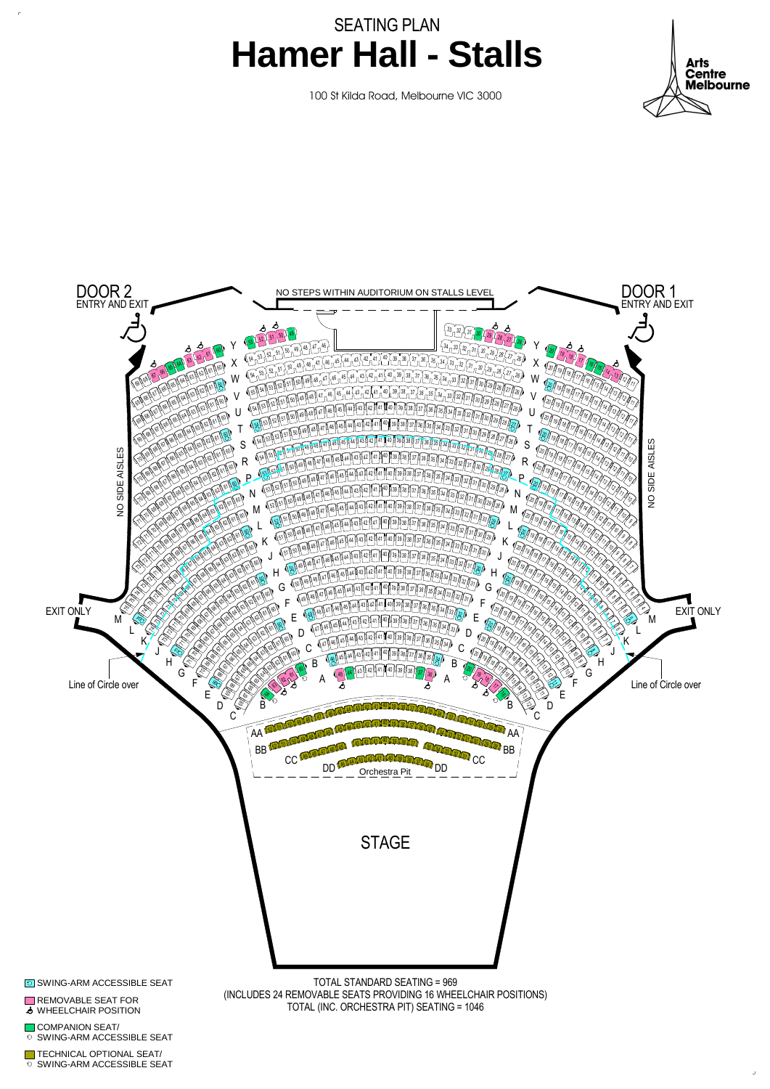





**TECHNICAL OPTIONAL SEAT/ SWING-ARM ACCESSIBLE SEAT** 

COMPANION SEAT/ **SWING-ARM ACCESSIBLE SEAT** 

REMOVABLE SEAT FOR **S** WHEELCHAIR POSITION

**SWING-ARM ACCESSIBLE SEAT** 

(INCLUDES 24 REMOVABLE SEATS PROVIDING 16 WHEELCHAIR POSITIONS) TOTAL (INC. ORCHESTRA PIT) SEATING = 1046

SEATING PLAN **Hamer Hall - Stalls**



100 St Kilda Road, Melbourne VIC 3000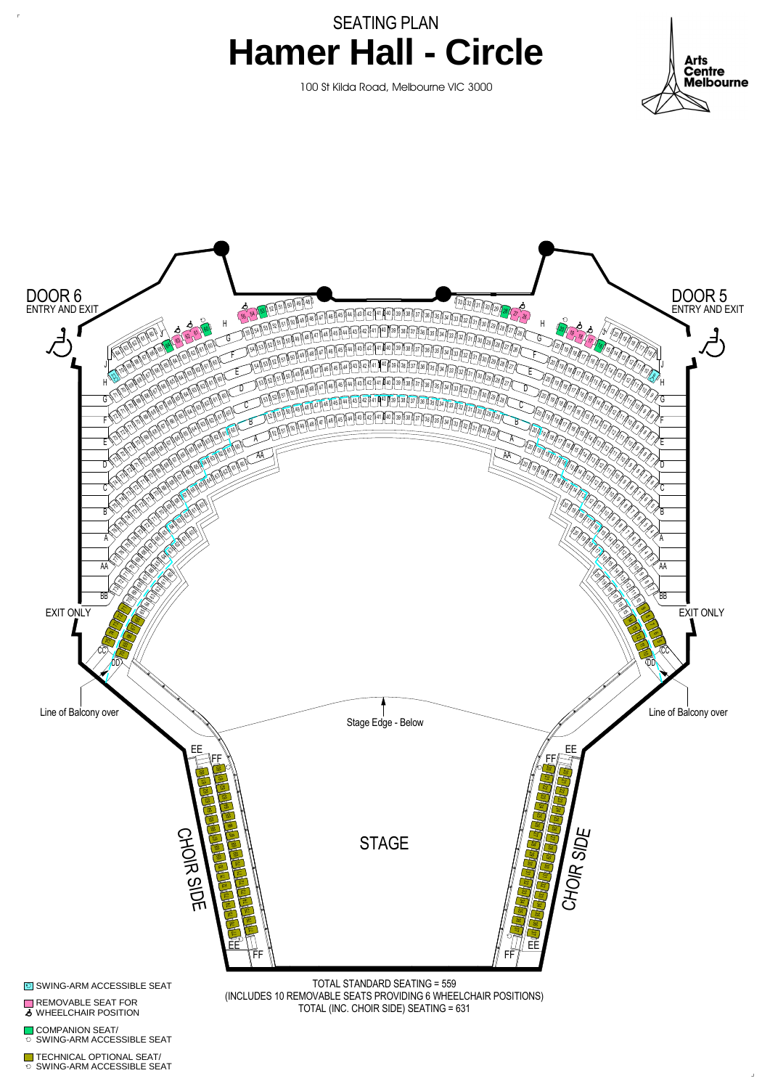



**Arts Centre Melbourne** 

TOTAL STANDARD SEATING = 559 (INCLUDES 10 REMOVABLE SEATS PROVIDING 6 WHEELCHAIR POSITIONS) TOTAL (INC. CHOIR SIDE) SEATING = 631

TECHNICAL OPTIONAL SEAT/ SWING-ARM ACCESSIBLE SEAT

**COMPANION SEAT/ SWING-ARM ACCESSIBLE SEAT** 

REMOVABLE SEAT FOR **S** WHEELCHAIR POSITION

**SWING-ARM ACCESSIBLE SEAT** 

## SEATING PLAN **Hamer Hall - Circle**

100 St Kilda Road, Melbourne VIC 3000